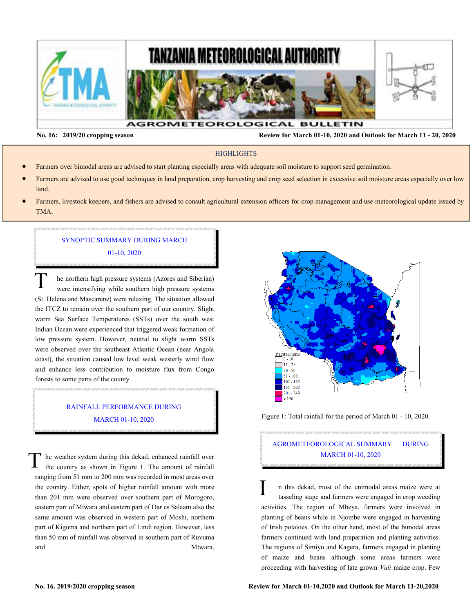

**No. 16: 2019/20 cropping season Review for March 01-10, 2020 and Outlook for March 11 - 20, 2020** 

#### **HIGHLIGHTS**

- Farmers over bimodal areas are advised to start planting especially areas with adequate soil moisture to support seed germination.
- Farmers are advised to use good techniques in land preparation, crop harvesting and crop seed selection in excessive soil moisture areas especially over low land.
- Farmers, livestock keepers, and fishers are advised to consult agricultural extension officers for crop management and use meteorological update issued by TMA.

# SYNOPTIC SUMMARY DURING MARCH 01-10, 2020

he northern high pressure systems (Azores and Siberian) were intensifying while southern high pressure systems (St. Helena and Mascarene) were relaxing. The situation allowed the ITCZ to remain over the southern part of our country. Slight warm Sea Surface Temperatures (SSTs) over the south west Indian Ocean were experienced that triggered weak formation of low pressure system. However, neutral to slight warm SSTs were observed over the southeast Atlantic Ocean (near Angola coast), the situation caused low level weak westerly wind flow and enhance less contribution to moisture flux from Congo forests to some parts of the county.  $\overline{T}$ 

### RAINFALL PERFORMANCE DURING MARCH 01-10, 2020

he weather system during this dekad, enhanced rainfall over the country as shown in Figure 1. The amount of rainfall ranging from 51 mm to 200 mm was recorded in most areas over the country. Either, spots of higher rainfall amount with more than 201 mm were observed over southern part of Morogoro, eastern part of Mtwara and eastern part of Dar es Salaam also the same amount was observed in western part of Moshi, northern part of Kigoma and northern part of Lindi region. However, less than 50 mm of rainfall was observed in southern part of Ruvuma and Mtwara. T



Figure 1: Total rainfall for the period of March 01 - 10, 2020.

# AGROMETEOROLOGICAL SUMMARY DURING MARCH 01-10, 2020

n this dekad, most of the unimodal areas maize were at tasseling stage and farmers were engaged in crop weeding activities. The region of Mbeya, farmers were involved in planting of beans while in Njombe were engaged in harvesting of Irish potatoes. On the other hand, most of the bimodal areas farmers continued with land preparation and planting activities. The regions of Simiyu and Kagera, farmers engaged in planting of maize and beans although some areas farmers were proceeding with harvesting of late grown *Vuli* maize crop. Few I